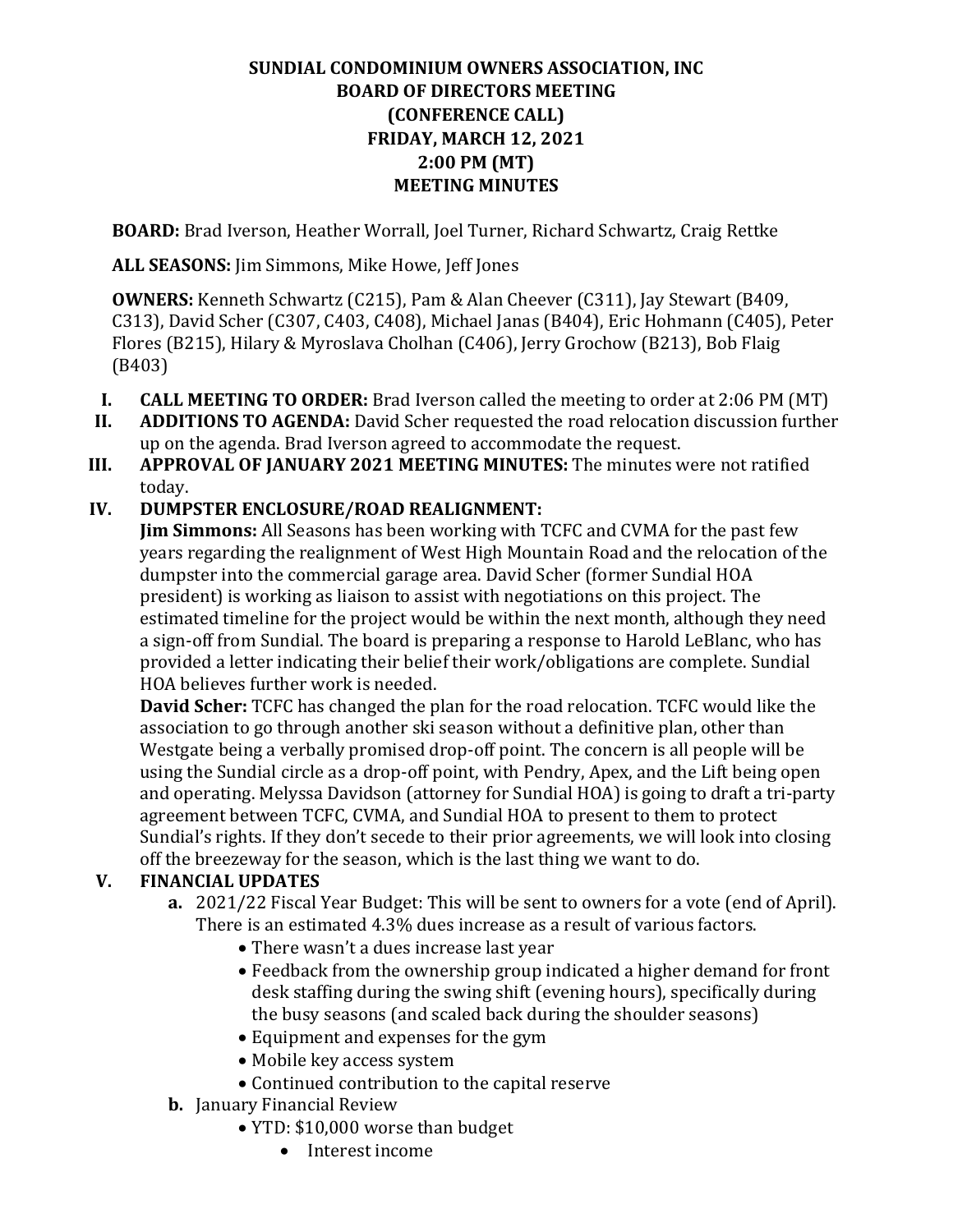### **SUNDIAL CONDOMINIUM OWNERS ASSOCIATION, INC BOARD OF DIRECTORS MEETING (CONFERENCE CALL) FRIDAY, MARCH 12, 2021 2:00 PM (MT) MEETING MINUTES**

**BOARD:** Brad Iverson, Heather Worrall, Joel Turner, Richard Schwartz, Craig Rettke

**ALL SEASONS:** Jim Simmons, Mike Howe, Jeff Jones

**OWNERS:** Kenneth Schwartz (C215), Pam & Alan Cheever (C311), Jay Stewart (B409, C313), David Scher (C307, C403, C408), Michael Janas (B404), Eric Hohmann (C405), Peter Flores (B215), Hilary & Myroslava Cholhan (C406), Jerry Grochow (B213), Bob Flaig (B403)

- **I. CALL MEETING TO ORDER:** Brad Iverson called the meeting to order at 2:06 PM (MT) **II. ADDITIONS TO AGENDA:** David Scher requested the road relocation discussion further
- **ADDITIONS TO AGENDA:** David Scher requested the road relocation discussion further up on the agenda. Brad Iverson agreed to accommodate the request.
- **III. APPROVAL OF JANUARY 2021 MEETING MINUTES:** The minutes were not ratified today.

#### **IV. DUMPSTER ENCLOSURE/ROAD REALIGNMENT:**

**Jim Simmons:** All Seasons has been working with TCFC and CVMA for the past few years regarding the realignment of West High Mountain Road and the relocation of the dumpster into the commercial garage area. David Scher (former Sundial HOA president) is working as liaison to assist with negotiations on this project. The estimated timeline for the project would be within the next month, although they need a sign-off from Sundial. The board is preparing a response to Harold LeBlanc, who has provided a letter indicating their belief their work/obligations are complete. Sundial HOA believes further work is needed.

**David Scher:** TCFC has changed the plan for the road relocation. TCFC would like the association to go through another ski season without a definitive plan, other than Westgate being a verbally promised drop-off point. The concern is all people will be using the Sundial circle as a drop-off point, with Pendry, Apex, and the Lift being open and operating. Melyssa Davidson (attorney for Sundial HOA) is going to draft a tri-party agreement between TCFC, CVMA, and Sundial HOA to present to them to protect Sundial's rights. If they don't secede to their prior agreements, we will look into closing off the breezeway for the season, which is the last thing we want to do.

#### **V. FINANCIAL UPDATES**

- **a.** 2021/22 Fiscal Year Budget: This will be sent to owners for a vote (end of April). There is an estimated 4.3% dues increase as a result of various factors.
	- There wasn't a dues increase last year
	- Feedback from the ownership group indicated a higher demand for front desk staffing during the swing shift (evening hours), specifically during the busy seasons (and scaled back during the shoulder seasons)
	- Equipment and expenses for the gym
	- Mobile key access system
	- Continued contribution to the capital reserve
- **b.** January Financial Review
	- YTD: \$10,000 worse than budget
		- Interest income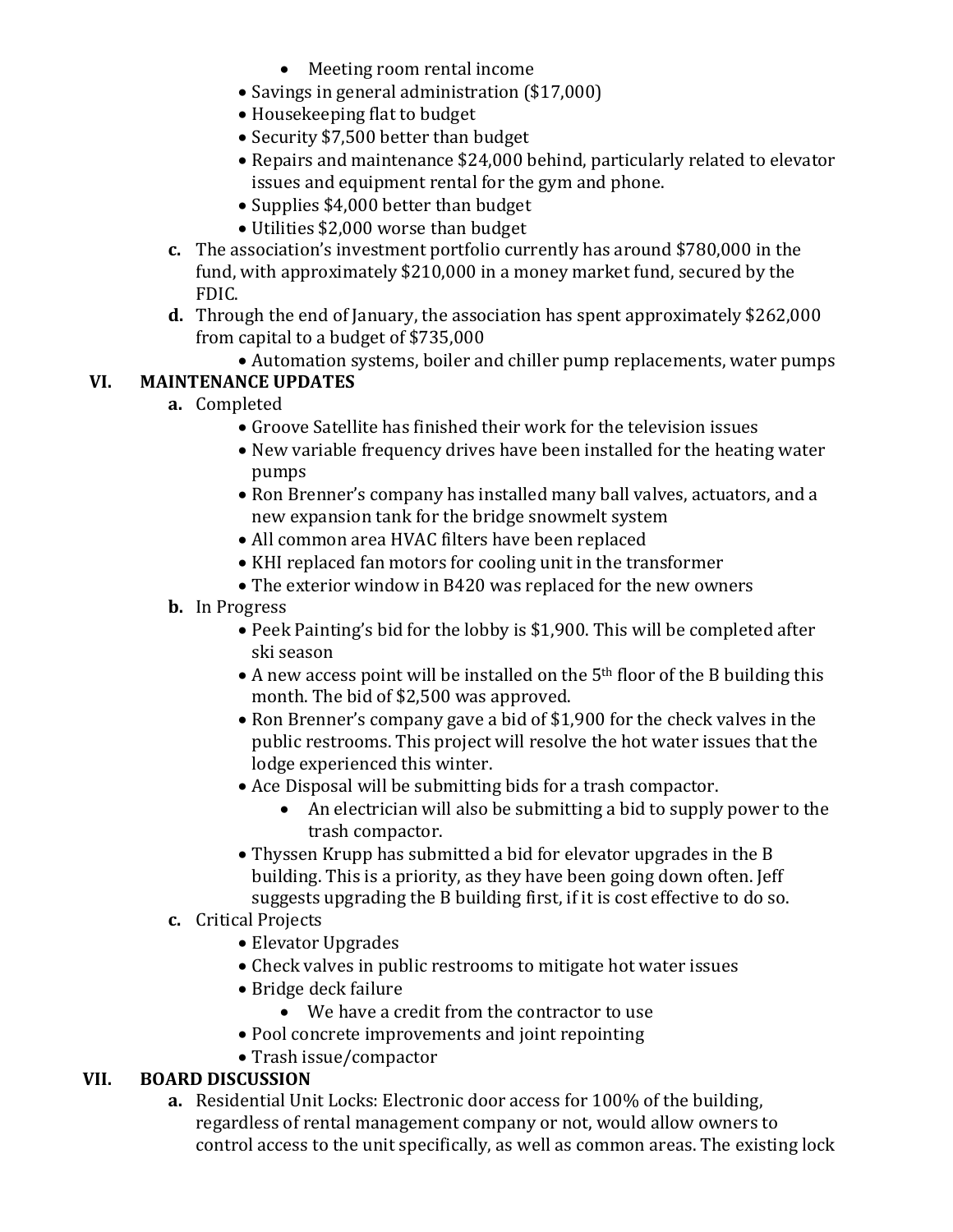- Meeting room rental income
- Savings in general administration (\$17,000)
- Housekeeping flat to budget
- Security \$7,500 better than budget
- Repairs and maintenance \$24,000 behind, particularly related to elevator issues and equipment rental for the gym and phone.
- Supplies \$4,000 better than budget
- Utilities \$2,000 worse than budget
- **c.** The association's investment portfolio currently has around \$780,000 in the fund, with approximately \$210,000 in a money market fund, secured by the FDIC.
- **d.** Through the end of January, the association has spent approximately \$262,000 from capital to a budget of \$735,000
	- Automation systems, boiler and chiller pump replacements, water pumps

# **VI. MAINTENANCE UPDATES**

- **a.** Completed
	- Groove Satellite has finished their work for the television issues
	- New variable frequency drives have been installed for the heating water pumps
	- Ron Brenner's company has installed many ball valves, actuators, and a new expansion tank for the bridge snowmelt system
	- All common area HVAC filters have been replaced
	- KHI replaced fan motors for cooling unit in the transformer
	- The exterior window in B420 was replaced for the new owners
	- **b.** In Progress
		- Peek Painting's bid for the lobby is \$1,900. This will be completed after ski season
		- A new access point will be installed on the 5<sup>th</sup> floor of the B building this month. The bid of \$2,500 was approved.
		- Ron Brenner's company gave a bid of \$1,900 for the check valves in the public restrooms. This project will resolve the hot water issues that the lodge experienced this winter.
		- Ace Disposal will be submitting bids for a trash compactor.
			- An electrician will also be submitting a bid to supply power to the trash compactor.
		- Thyssen Krupp has submitted a bid for elevator upgrades in the B building. This is a priority, as they have been going down often. Jeff suggests upgrading the B building first, if it is cost effective to do so.

## **c.** Critical Projects

- Elevator Upgrades
- Check valves in public restrooms to mitigate hot water issues
- Bridge deck failure
	- We have a credit from the contractor to use
- Pool concrete improvements and joint repointing
- Trash issue/compactor

## **VII. BOARD DISCUSSION**

**a.** Residential Unit Locks: Electronic door access for 100% of the building, regardless of rental management company or not, would allow owners to control access to the unit specifically, as well as common areas. The existing lock